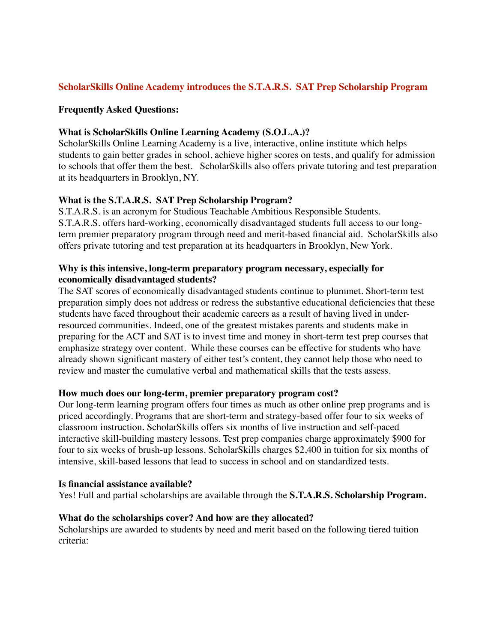# **ScholarSkills Online Academy introduces the S.T.A.R.S. SAT Prep Scholarship Program**

### **Frequently Asked Questions:**

### **What is ScholarSkills Online Learning Academy (S.O.L.A.)?**

ScholarSkills Online Learning Academy is a live, interactive, online institute which helps students to gain better grades in school, achieve higher scores on tests, and qualify for admission to schools that offer them the best. ScholarSkills also offers private tutoring and test preparation at its headquarters in Brooklyn, NY.

## **What is the S.T.A.R.S. SAT Prep Scholarship Program?**

S.T.A.R.S. is an acronym for Studious Teachable Ambitious Responsible Students. S.T.A.R.S. offers hard-working, economically disadvantaged students full access to our longterm premier preparatory program through need and merit-based financial aid. ScholarSkills also offers private tutoring and test preparation at its headquarters in Brooklyn, New York.

### **Why is this intensive, long-term preparatory program necessary, especially for economically disadvantaged students?**

The SAT scores of economically disadvantaged students continue to plummet. Short-term test preparation simply does not address or redress the substantive educational deficiencies that these students have faced throughout their academic careers as a result of having lived in underresourced communities. Indeed, one of the greatest mistakes parents and students make in preparing for the ACT and SAT is to invest time and money in short-term test prep courses that emphasize strategy over content. While these courses can be effective for students who have already shown significant mastery of either test's content, they cannot help those who need to review and master the cumulative verbal and mathematical skills that the tests assess.

#### **How much does our long-term, premier preparatory program cost?**

Our long-term learning program offers four times as much as other online prep programs and is priced accordingly. Programs that are short-term and strategy-based offer four to six weeks of classroom instruction. ScholarSkills offers six months of live instruction and self-paced interactive skill-building mastery lessons. Test prep companies charge approximately \$900 for four to six weeks of brush-up lessons. ScholarSkills charges \$2,400 in tuition for six months of intensive, skill-based lessons that lead to success in school and on standardized tests.

#### **Is financial assistance available?**

Yes! Full and partial scholarships are available through the **S.T.A.R.S. Scholarship Program.**

#### **What do the scholarships cover? And how are they allocated?**

Scholarships are awarded to students by need and merit based on the following tiered tuition criteria: